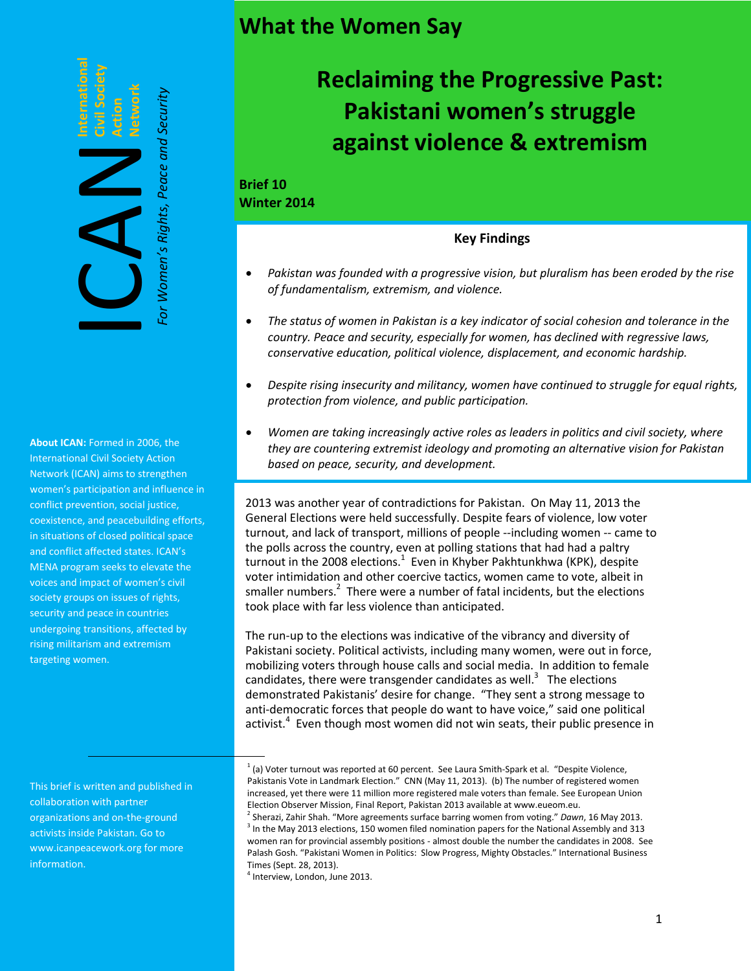## **What the Women Say**

**Civil Society Action Network** For Women's Rights, Peace ar

*For Women's Rights, Peace and Security*

**International**

**About ICAN:** Formed in 2006, the International Civil Society Action Network (ICAN) aims to strengthen women's participation and influence in conflict prevention, social justice, coexistence, and peacebuilding efforts, in situations of closed political space and conflict affected states. ICAN's MENA program seeks to elevate the voices and impact of women's civil society groups on issues of rights, security and peace in countries undergoing transitions, affected by rising militarism and extremism targeting women.

This brief is written and published in collaboration with partner organizations and on-the-ground activists inside Pakistan. Go to www.icanpeacework.org for more information.

# **Reclaiming the Progressive Past: Pakistani women's struggle against violence & extremism**

## **Brief 10 Winter 2014**

## **Key Findings**

- *Pakistan was founded with a progressive vision, but pluralism has been eroded by the rise of fundamentalism, extremism, and violence.*
- *The status of women in Pakistan is a key indicator of social cohesion and tolerance in the country. Peace and security, especially for women, has declined with regressive laws, conservative education, political violence, displacement, and economic hardship.*
- *Despite rising insecurity and militancy, women have continued to struggle for equal rights, protection from violence, and public participation.*
- *Women are taking increasingly active roles as leaders in politics and civil society, where they are countering extremist ideology and promoting an alternative vision for Pakistan based on peace, security, and development.*

2013 was another year of contradictions for Pakistan. On May 11, 2013 the General Elections were held successfully. Despite fears of violence, low voter turnout, and lack of transport, millions of people --including women -- came to the polls across the country, even at polling stations that had had a paltry turnout in the 2008 elections.<sup>1</sup> Even in Khyber Pakhtunkhwa (KPK), despite voter intimidation and other coercive tactics, women came to vote, albeit in smaller numbers. $2$  There were a number of fatal incidents, but the elections took place with far less violence than anticipated.

The run-up to the elections was indicative of the vibrancy and diversity of Pakistani society. Political activists, including many women, were out in force, mobilizing voters through house calls and social media. In addition to female candidates, there were transgender candidates as well. $3$  The elections demonstrated Pakistanis' desire for change. "They sent a strong message to anti-democratic forces that people do want to have voice," said one political activist.<sup>4</sup> Even though most women did not win seats, their public presence in

4 Interview, London, June 2013.

 $1$  (a) Voter turnout was reported at 60 percent. See Laura Smith-Spark et al. "Despite Violence, Pakistanis Vote in Landmark Election." CNN (May 11, 2013). (b) The number of registered women increased, yet there were 11 million more registered male voters than female. See European Union Election Observer Mission, Final Report, Pakistan 2013 available at www.eueom.eu. 2 Sherazi, Zahir Shah. "More agreements surface barring women from voting." *Dawn*, 16 May 2013.  $3$  In the May 2013 elections, 150 women filed nomination papers for the National Assembly and 313 women ran for provincial assembly positions - almost double the number the candidates in 2008. See Palash Gosh. "Pakistani Women in Politics: Slow Progress, Mighty Obstacles." International Business Times (Sept. 28, 2013).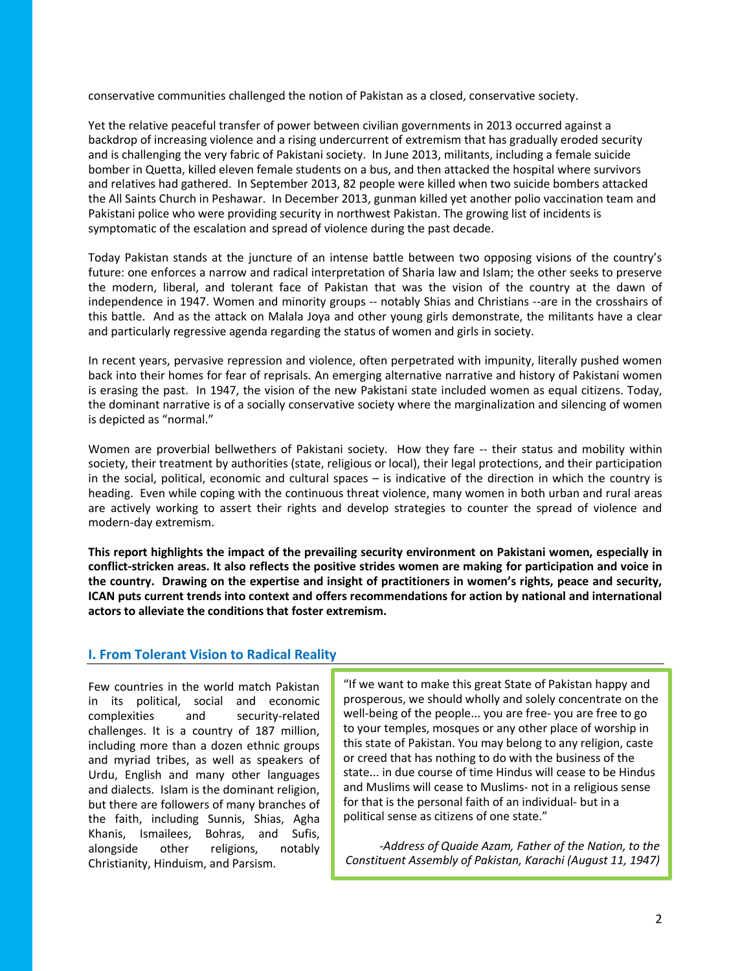conservative communities challenged the notion of Pakistan as a closed, conservative society.

Yet the relative peaceful transfer of power between civilian governments in 2013 occurred against a backdrop of increasing violence and a rising undercurrent of extremism that has gradually eroded security and is challenging the very fabric of Pakistani society. In June 2013, militants, including a female suicide bomber in Quetta, killed eleven female students on a bus, and then attacked the hospital where survivors and relatives had gathered. In September 2013, 82 people were killed when two suicide bombers attacked the All Saints Church in Peshawar. In December 2013, gunman killed yet another polio vaccination team and Pakistani police who were providing security in northwest Pakistan. The growing list of incidents is symptomatic of the escalation and spread of violence during the past decade.

Today Pakistan stands at the juncture of an intense battle between two opposing visions of the country's future: one enforces a narrow and radical interpretation of Sharia law and Islam; the other seeks to preserve the modern, liberal, and tolerant face of Pakistan that was the vision of the country at the dawn of independence in 1947. Women and minority groups -- notably Shias and Christians --are in the crosshairs of this battle. And as the attack on Malala Joya and other young girls demonstrate, the militants have a clear and particularly regressive agenda regarding the status of women and girls in society.

In recent years, pervasive repression and violence, often perpetrated with impunity, literally pushed women back into their homes for fear of reprisals. An emerging alternative narrative and history of Pakistani women is erasing the past. In 1947, the vision of the new Pakistani state included women as equal citizens. Today, the dominant narrative is of a socially conservative society where the marginalization and silencing of women is depicted as "normal."

Women are proverbial bellwethers of Pakistani society. How they fare -- their status and mobility within society, their treatment by authorities (state, religious or local), their legal protections, and their participation in the social, political, economic and cultural spaces – is indicative of the direction in which the country is heading. Even while coping with the continuous threat violence, many women in both urban and rural areas are actively working to assert their rights and develop strategies to counter the spread of violence and modern-day extremism.

**This report highlights the impact of the prevailing security environment on Pakistani women, especially in conflict-stricken areas. It also reflects the positive strides women are making for participation and voice in the country. Drawing on the expertise and insight of practitioners in women's rights, peace and security, ICAN puts current trends into context and offers recommendations for action by national and international actors to alleviate the conditions that foster extremism.**

## **I. From Tolerant Vision to Radical Reality**

Few countries in the world match Pakistan in its political, social and economic complexities and security-related challenges. It is a country of 187 million, including more than a dozen ethnic groups and myriad tribes, as well as speakers of Urdu, English and many other languages and dialects. Islam is the dominant religion, but there are followers of many branches of the faith, including Sunnis, Shias, Agha Khanis, Ismailees, Bohras, and Sufis, alongside other religions, notably Christianity, Hinduism, and Parsism.

"If we want to make this great State of Pakistan happy and prosperous, we should wholly and solely concentrate on the well-being of the people... you are free- you are free to go to your temples, mosques or any other place of worship in this state of Pakistan. You may belong to any religion, caste or creed that has nothing to do with the business of the state... in due course of time Hindus will cease to be Hindus and Muslims will cease to Muslims- not in a religious sense for that is the personal faith of an individual- but in a political sense as citizens of one state."

*-Address of Quaide Azam, Father of the Nation, to the Constituent Assembly of Pakistan, Karachi (August 11, 1947)*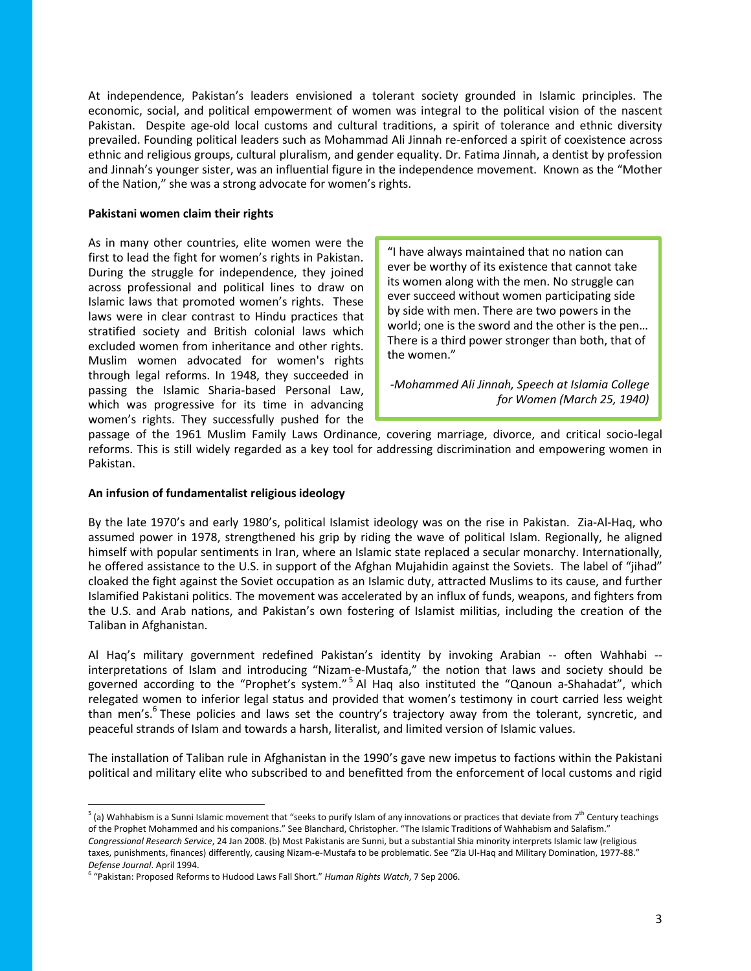At independence, Pakistan's leaders envisioned a tolerant society grounded in Islamic principles. The economic, social, and political empowerment of women was integral to the political vision of the nascent Pakistan. Despite age-old local customs and cultural traditions, a spirit of tolerance and ethnic diversity prevailed. Founding political leaders such as Mohammad Ali Jinnah re-enforced a spirit of coexistence across ethnic and religious groups, cultural pluralism, and gender equality. Dr. Fatima Jinnah, a dentist by profession and Jinnah's younger sister, was an influential figure in the independence movement. Known as the "Mother of the Nation," she was a strong advocate for women's rights.

#### **Pakistani women claim their rights**

As in many other countries, elite women were the first to lead the fight for women's rights in Pakistan. During the struggle for independence, they joined across professional and political lines to draw on Islamic laws that promoted women's rights. These laws were in clear contrast to Hindu practices that stratified society and British colonial laws which excluded women from inheritance and other rights. Muslim women advocated for women's rights through legal reforms. In 1948, they succeeded in passing the Islamic Sharia-based Personal Law, which was progressive for its time in advancing women's rights. They successfully pushed for the

"I have always maintained that no nation can ever be worthy of its existence that cannot take its women along with the men. No struggle can ever succeed without women participating side by side with men. There are two powers in the world; one is the sword and the other is the pen… There is a third power stronger than both, that of the women."

*-Mohammed Ali Jinnah, Speech at Islamia College for Women (March 25, 1940)*

passage of the 1961 Muslim Family Laws Ordinance, covering marriage, divorce, and critical socio-legal reforms. This is still widely regarded as a key tool for addressing discrimination and empowering women in Pakistan.

#### **An infusion of fundamentalist religious ideology**

 $\overline{a}$ 

By the late 1970's and early 1980's, political Islamist ideology was on the rise in Pakistan. Zia-Al-Haq, who assumed power in 1978, strengthened his grip by riding the wave of political Islam. Regionally, he aligned himself with popular sentiments in Iran, where an Islamic state replaced a secular monarchy. Internationally, he offered assistance to the U.S. in support of the Afghan Mujahidin against the Soviets. The label of "jihad" cloaked the fight against the Soviet occupation as an Islamic duty, attracted Muslims to its cause, and further Islamified Pakistani politics. The movement was accelerated by an influx of funds, weapons, and fighters from the U.S. and Arab nations, and Pakistan's own fostering of Islamist militias, including the creation of the Taliban in Afghanistan.

Al Haq's military government redefined Pakistan's identity by invoking Arabian -- often Wahhabi - interpretations of Islam and introducing "Nizam-e-Mustafa," the notion that laws and society should be governed according to the "Prophet's system."<sup>5</sup> Al Haq also instituted the "Qanoun a-Shahadat", which relegated women to inferior legal status and provided that women's testimony in court carried less weight than men's.<sup>6</sup> These policies and laws set the country's trajectory away from the tolerant, syncretic, and peaceful strands of Islam and towards a harsh, literalist, and limited version of Islamic values.

The installation of Taliban rule in Afghanistan in the 1990's gave new impetus to factions within the Pakistani political and military elite who subscribed to and benefitted from the enforcement of local customs and rigid

 $^5$  (a) Wahhabism is a Sunni Islamic movement that "seeks to purify Islam of any innovations or practices that deviate from 7<sup>th</sup> Century teachings of the Prophet Mohammed and his companions." See Blanchard, Christopher. "The Islamic Traditions of Wahhabism and Salafism." *Congressional Research Service*, 24 Jan 2008. (b) Most Pakistanis are Sunni, but a substantial Shia minority interprets Islamic law (religious taxes, punishments, finances) differently, causing Nizam-e-Mustafa to be problematic. See "Zia Ul-Haq and Military Domination, 1977-88." *Defense Journal*. April 1994.

<sup>6</sup> "Pakistan: Proposed Reforms to Hudood Laws Fall Short." *Human Rights Watch*, 7 Sep 2006.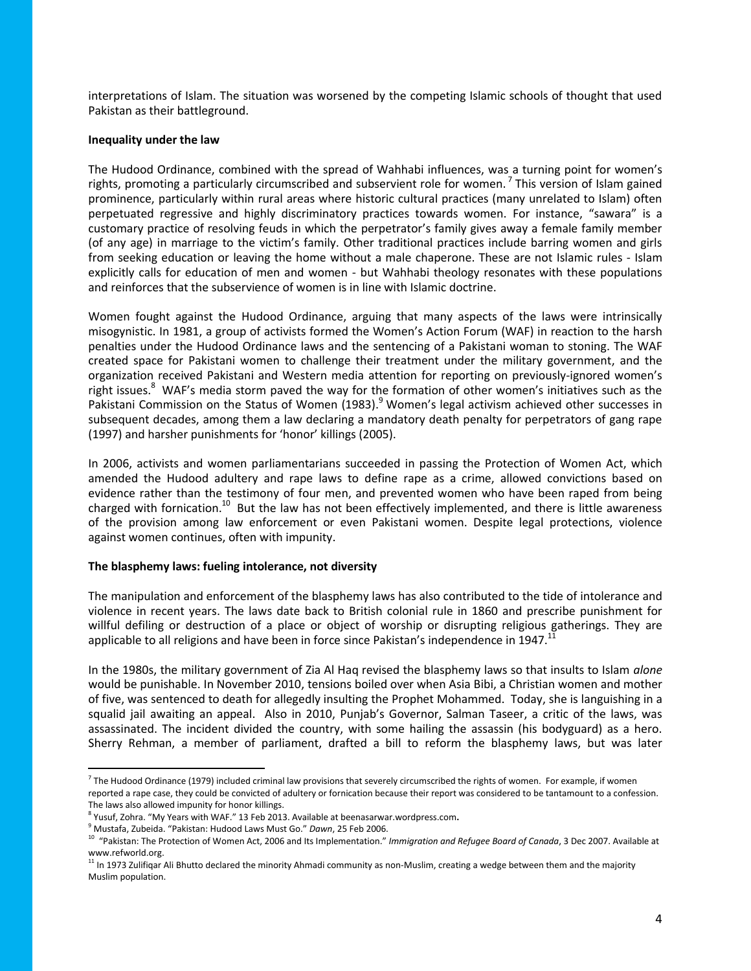interpretations of Islam. The situation was worsened by the competing Islamic schools of thought that used Pakistan as their battleground.

#### **Inequality under the law**

The Hudood Ordinance, combined with the spread of Wahhabi influences, was a turning point for women's rights, promoting a particularly circumscribed and subservient role for women. <sup>7</sup> This version of Islam gained prominence, particularly within rural areas where historic cultural practices (many unrelated to Islam) often perpetuated regressive and highly discriminatory practices towards women. For instance, "sawara" is a customary practice of resolving feuds in which the perpetrator's family gives away a female family member (of any age) in marriage to the victim's family. Other traditional practices include barring women and girls from seeking education or leaving the home without a male chaperone. These are not Islamic rules - Islam explicitly calls for education of men and women - but Wahhabi theology resonates with these populations and reinforces that the subservience of women is in line with Islamic doctrine.

Women fought against the Hudood Ordinance, arguing that many aspects of the laws were intrinsically misogynistic. In 1981, a group of activists formed the Women's Action Forum (WAF) in reaction to the harsh penalties under the Hudood Ordinance laws and the sentencing of a Pakistani woman to stoning. The WAF created space for Pakistani women to challenge their treatment under the military government, and the organization received Pakistani and Western media attention for reporting on previously-ignored women's right issues.<sup>8</sup> WAF's media storm paved the way for the formation of other women's initiatives such as the Pakistani Commission on the Status of Women (1983).<sup>9</sup> Women's legal activism achieved other successes in subsequent decades, among them a law declaring a mandatory death penalty for perpetrators of gang rape (1997) and harsher punishments for 'honor' killings (2005).

In 2006, activists and women parliamentarians succeeded in passing the Protection of Women Act, which amended the Hudood adultery and rape laws to define rape as a crime, allowed convictions based on evidence rather than the testimony of four men, and prevented women who have been raped from being charged with fornication.<sup>10</sup> But the law has not been effectively implemented, and there is little awareness of the provision among law enforcement or even Pakistani women. Despite legal protections, violence against women continues, often with impunity.

#### **The blasphemy laws: fueling intolerance, not diversity**

The manipulation and enforcement of the blasphemy laws has also contributed to the tide of intolerance and violence in recent years. The laws date back to British colonial rule in 1860 and prescribe punishment for willful defiling or destruction of a place or object of worship or disrupting religious gatherings. They are applicable to all religions and have been in force since Pakistan's independence in 1947.<sup>1</sup>

In the 1980s, the military government of Zia Al Haq revised the blasphemy laws so that insults to Islam *alone*  would be punishable. In November 2010, tensions boiled over when Asia Bibi, a Christian women and mother of five, was sentenced to death for allegedly insulting the Prophet Mohammed. Today, she is languishing in a squalid jail awaiting an appeal. Also in 2010, Punjab's Governor, Salman Taseer, a critic of the laws, was assassinated. The incident divided the country, with some hailing the assassin (his bodyguard) as a hero. Sherry Rehman, a member of parliament, drafted a bill to reform the blasphemy laws, but was later

 $\overline{a}$ 

<sup>&</sup>lt;sup>7</sup> The Hudood Ordinance (1979) included criminal law provisions that severely circumscribed the rights of women. For example, if women reported a rape case, they could be convicted of adultery or fornication because their report was considered to be tantamount to a confession. The laws also allowed impunity for honor killings.

<sup>8</sup> Yusuf, Zohra. "My Years with WAF." 13 Feb 2013. Available at beenasarwar.wordpress.com**.** 

<sup>9</sup> Mustafa, Zubeida. "Pakistan: Hudood Laws Must Go." *Dawn*, 25 Feb 2006.

<sup>&</sup>lt;sup>10</sup> "Pakistan: The Protection of Women Act, 2006 and Its Implementation." *Immigration and Refugee Board of Canada*, 3 Dec 2007. Available at www.refworld.org.

 $11$  In 1973 Zulifiqar Ali Bhutto declared the minority Ahmadi community as non-Muslim, creating a wedge between them and the majority Muslim population.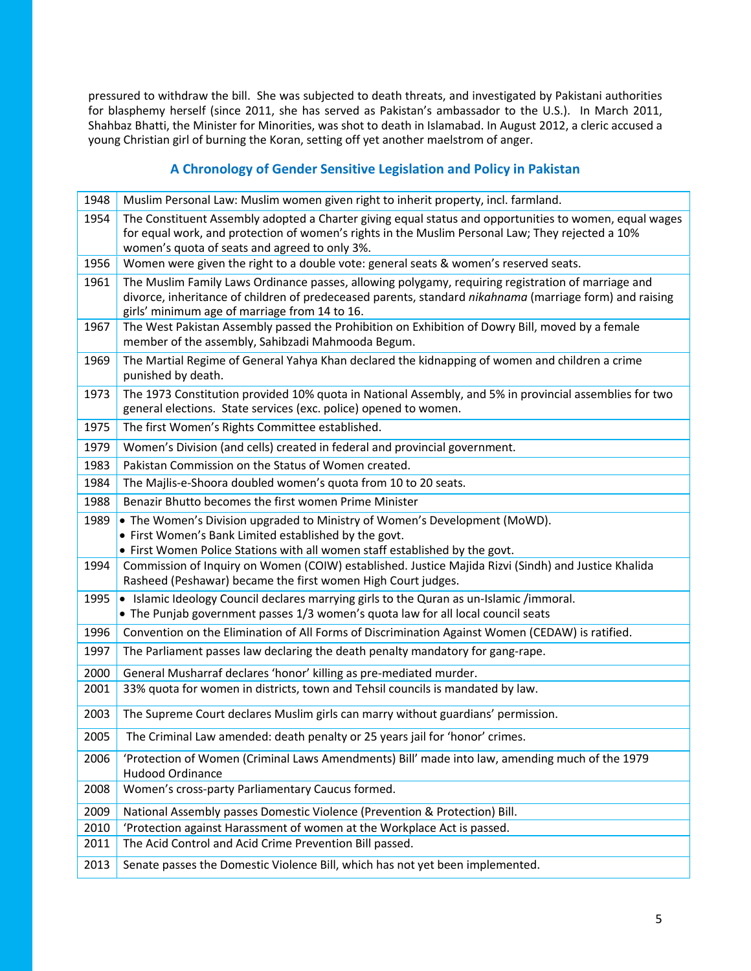pressured to withdraw the bill. She was subjected to death threats, and investigated by Pakistani authorities for blasphemy herself (since 2011, she has served as Pakistan's ambassador to the U.S.). In March 2011, Shahbaz Bhatti, the Minister for Minorities, was shot to death in Islamabad. In August 2012, a cleric accused a young Christian girl of burning the Koran, setting off yet another maelstrom of anger.

## **A Chronology of Gender Sensitive Legislation and Policy in Pakistan**

| 1948 | Muslim Personal Law: Muslim women given right to inherit property, incl. farmland.                                                                                                                                                                             |
|------|----------------------------------------------------------------------------------------------------------------------------------------------------------------------------------------------------------------------------------------------------------------|
| 1954 | The Constituent Assembly adopted a Charter giving equal status and opportunities to women, equal wages<br>for equal work, and protection of women's rights in the Muslim Personal Law; They rejected a 10%<br>women's quota of seats and agreed to only 3%.    |
| 1956 | Women were given the right to a double vote: general seats & women's reserved seats.                                                                                                                                                                           |
| 1961 | The Muslim Family Laws Ordinance passes, allowing polygamy, requiring registration of marriage and<br>divorce, inheritance of children of predeceased parents, standard nikahnama (marriage form) and raising<br>girls' minimum age of marriage from 14 to 16. |
| 1967 | The West Pakistan Assembly passed the Prohibition on Exhibition of Dowry Bill, moved by a female<br>member of the assembly, Sahibzadi Mahmooda Begum.                                                                                                          |
| 1969 | The Martial Regime of General Yahya Khan declared the kidnapping of women and children a crime<br>punished by death.                                                                                                                                           |
| 1973 | The 1973 Constitution provided 10% quota in National Assembly, and 5% in provincial assemblies for two<br>general elections. State services (exc. police) opened to women.                                                                                     |
| 1975 | The first Women's Rights Committee established.                                                                                                                                                                                                                |
| 1979 | Women's Division (and cells) created in federal and provincial government.                                                                                                                                                                                     |
| 1983 | Pakistan Commission on the Status of Women created.                                                                                                                                                                                                            |
| 1984 | The Majlis-e-Shoora doubled women's quota from 10 to 20 seats.                                                                                                                                                                                                 |
| 1988 | Benazir Bhutto becomes the first women Prime Minister                                                                                                                                                                                                          |
| 1989 | • The Women's Division upgraded to Ministry of Women's Development (MoWD).<br>• First Women's Bank Limited established by the govt.<br>• First Women Police Stations with all women staff established by the govt.                                             |
| 1994 | Commission of Inquiry on Women (COIW) established. Justice Majida Rizvi (Sindh) and Justice Khalida<br>Rasheed (Peshawar) became the first women High Court judges.                                                                                            |
| 1995 | • Islamic Ideology Council declares marrying girls to the Quran as un-Islamic /immoral.<br>• The Punjab government passes 1/3 women's quota law for all local council seats                                                                                    |
| 1996 | Convention on the Elimination of All Forms of Discrimination Against Women (CEDAW) is ratified.                                                                                                                                                                |
| 1997 | The Parliament passes law declaring the death penalty mandatory for gang-rape.                                                                                                                                                                                 |
| 2000 | General Musharraf declares 'honor' killing as pre-mediated murder.                                                                                                                                                                                             |
| 2001 | 33% quota for women in districts, town and Tehsil councils is mandated by law.                                                                                                                                                                                 |
| 2003 | The Supreme Court declares Muslim girls can marry without guardians' permission.                                                                                                                                                                               |
| 2005 | The Criminal Law amended: death penalty or 25 years jail for 'honor' crimes.                                                                                                                                                                                   |
| 2006 | 'Protection of Women (Criminal Laws Amendments) Bill' made into law, amending much of the 1979<br><b>Hudood Ordinance</b>                                                                                                                                      |
| 2008 | Women's cross-party Parliamentary Caucus formed.                                                                                                                                                                                                               |
| 2009 | National Assembly passes Domestic Violence (Prevention & Protection) Bill.                                                                                                                                                                                     |
| 2010 | 'Protection against Harassment of women at the Workplace Act is passed.                                                                                                                                                                                        |
| 2011 | The Acid Control and Acid Crime Prevention Bill passed.                                                                                                                                                                                                        |
| 2013 | Senate passes the Domestic Violence Bill, which has not yet been implemented.                                                                                                                                                                                  |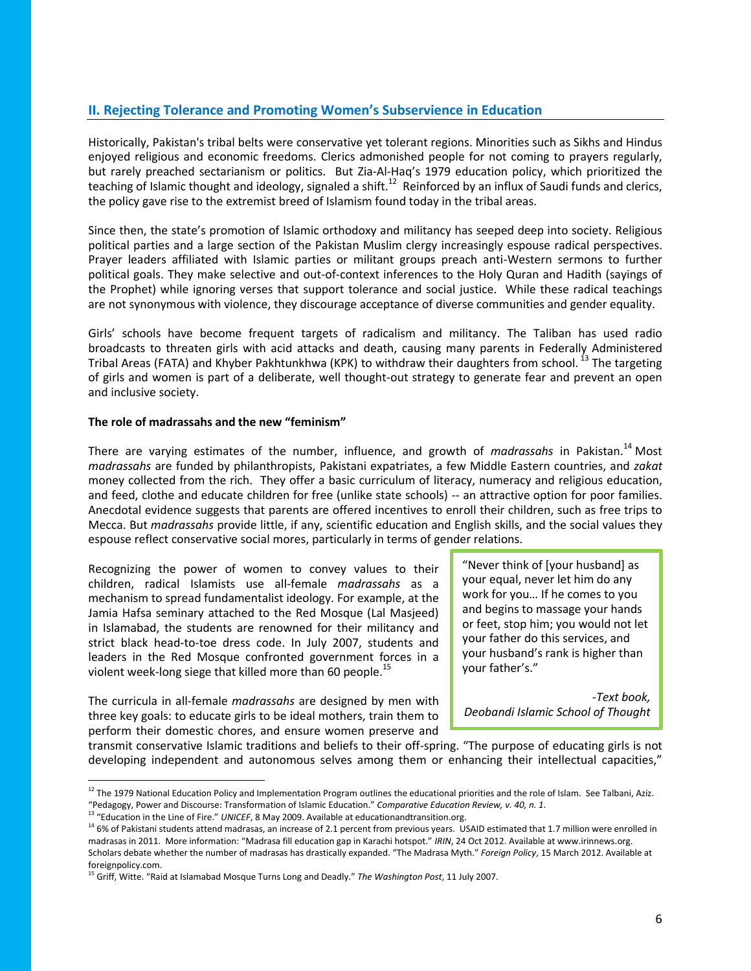## **II. Rejecting Tolerance and Promoting Women's Subservience in Education**

Historically, Pakistan's tribal belts were conservative yet tolerant regions. Minorities such as Sikhs and Hindus enjoyed religious and economic freedoms. Clerics admonished people for not coming to prayers regularly, but rarely preached sectarianism or politics. But Zia-Al-Haq's 1979 education policy, which prioritized the teaching of Islamic thought and ideology, signaled a shift.<sup>12</sup> Reinforced by an influx of Saudi funds and clerics, the policy gave rise to the extremist breed of Islamism found today in the tribal areas.

Since then, the state's promotion of Islamic orthodoxy and militancy has seeped deep into society. Religious political parties and a large section of the Pakistan Muslim clergy increasingly espouse radical perspectives. Prayer leaders affiliated with Islamic parties or militant groups preach anti-Western sermons to further political goals. They make selective and out-of-context inferences to the Holy Quran and Hadith (sayings of the Prophet) while ignoring verses that support tolerance and social justice. While these radical teachings are not synonymous with violence, they discourage acceptance of diverse communities and gender equality.

Girls' schools have become frequent targets of radicalism and militancy. The Taliban has used radio broadcasts to threaten girls with acid attacks and death, causing many parents in Federally Administered Tribal Areas (FATA) and Khyber Pakhtunkhwa (KPK) to withdraw their daughters from school. <sup>13</sup> The targeting of girls and women is part of a deliberate, well thought-out strategy to generate fear and prevent an open and inclusive society.

### **The role of madrassahs and the new "feminism"**

There are varying estimates of the number, influence, and growth of *madrassahs* in Pakistan.<sup>14</sup> Most *madrassahs* are funded by philanthropists, Pakistani expatriates, a few Middle Eastern countries, and *zakat* money collected from the rich. They offer a basic curriculum of literacy, numeracy and religious education, and feed, clothe and educate children for free (unlike state schools) -- an attractive option for poor families. Anecdotal evidence suggests that parents are offered incentives to enroll their children, such as free trips to Mecca. But *madrassahs* provide little, if any, scientific education and English skills, and the social values they espouse reflect conservative social mores, particularly in terms of gender relations.

Recognizing the power of women to convey values to their children, radical Islamists use all-female *madrassahs* as a mechanism to spread fundamentalist ideology. For example, at the Jamia Hafsa seminary attached to the Red Mosque (Lal Masjeed) in Islamabad, the students are renowned for their militancy and strict black head-to-toe dress code. In July 2007, students and leaders in the Red Mosque confronted government forces in a violent week-long siege that killed more than 60 people.<sup>15</sup>

The curricula in all-female *madrassahs* are designed by men with three key goals: to educate girls to be ideal mothers, train them to perform their domestic chores, and ensure women preserve and

 $\overline{\phantom{a}}$ 

"Never think of [your husband] as your equal, never let him do any work for you… If he comes to you and begins to massage your hands or feet, stop him; you would not let your father do this services, and your husband's rank is higher than your father's."

*-Text book, Deobandi Islamic School of Thought*

transmit conservative Islamic traditions and beliefs to their off-spring. "The purpose of educating girls is not developing independent and autonomous selves among them or enhancing their intellectual capacities,"

<sup>&</sup>lt;sup>12</sup> The 1979 National Education Policy and Implementation Program outlines the educational priorities and the role of Islam. See Talbani, Aziz. "Pedagogy, Power and Discourse: Transformation of Islamic Education." *Comparative Education Review, v. 40, n. 1*.

<sup>13</sup> "Education in the Line of Fire." *UNICEF*, 8 May 2009. Available at educationandtransition.org.

<sup>&</sup>lt;sup>14</sup> 6% of Pakistani students attend madrasas, an increase of 2.1 percent from previous years. USAID estimated that 1.7 million were enrolled in madrasas in 2011. More information: "Madrasa fill education gap in Karachi hotspot." *IRIN*, 24 Oct 2012. Available at www.irinnews.org. Scholars debate whether the number of madrasas has drastically expanded. "The Madrasa Myth." *Foreign Policy*, 15 March 2012. Available at foreignpolicy.com.

<sup>15</sup> Griff, Witte. "Raid at Islamabad Mosque Turns Long and Deadly." *The Washington Post*, 11 July 2007.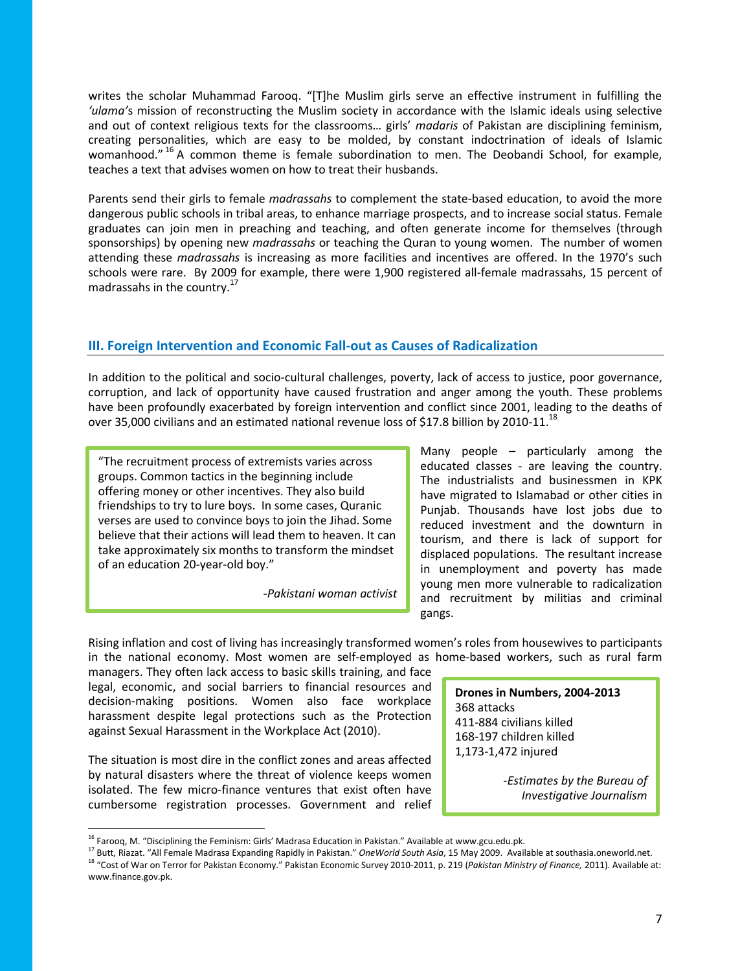writes the scholar Muhammad Farooq. "[T]he Muslim girls serve an effective instrument in fulfilling the *'ulama'*s mission of reconstructing the Muslim society in accordance with the Islamic ideals using selective and out of context religious texts for the classrooms… girls' *madaris* of Pakistan are disciplining feminism, creating personalities, which are easy to be molded, by constant indoctrination of ideals of Islamic womanhood."<sup>16</sup> A common theme is female subordination to men. The Deobandi School, for example, teaches a text that advises women on how to treat their husbands.

Parents send their girls to female *madrassahs* to complement the state-based education, to avoid the more dangerous public schools in tribal areas, to enhance marriage prospects, and to increase social status. Female graduates can join men in preaching and teaching, and often generate income for themselves (through sponsorships) by opening new *madrassahs* or teaching the Quran to young women. The number of women attending these *madrassahs* is increasing as more facilities and incentives are offered. In the 1970's such schools were rare. By 2009 for example, there were 1,900 registered all-female madrassahs, 15 percent of madrassahs in the country.<sup>17</sup>

## **III. Foreign Intervention and Economic Fall-out as Causes of Radicalization**

In addition to the political and socio-cultural challenges, poverty, lack of access to justice, poor governance, corruption, and lack of opportunity have caused frustration and anger among the youth. These problems have been profoundly exacerbated by foreign intervention and conflict since 2001, leading to the deaths of over 35,000 civilians and an estimated national revenue loss of \$17.8 billion by 2010-11.<sup>18</sup>

"The recruitment process of extremists varies across groups. Common tactics in the beginning include offering money or other incentives. They also build friendships to try to lure boys. In some cases, Quranic verses are used to convince boys to join the Jihad. Some believe that their actions will lead them to heaven. It can take approximately six months to transform the mindset of an education 20-year-old boy."

*-Pakistani woman activist*

Many people – particularly among the educated classes - are leaving the country. The industrialists and businessmen in KPK have migrated to Islamabad or other cities in Punjab. Thousands have lost jobs due to reduced investment and the downturn in tourism, and there is lack of support for displaced populations. The resultant increase in unemployment and poverty has made young men more vulnerable to radicalization and recruitment by militias and criminal gangs.

Rising inflation and cost of living has increasingly transformed women's roles from housewives to participants in the national economy. Most women are self-employed as home-based workers, such as rural farm

managers. They often lack access to basic skills training, and face legal, economic, and social barriers to financial resources and decision-making positions. Women also face workplace harassment despite legal protections such as the Protection against Sexual Harassment in the Workplace Act (2010).

The situation is most dire in the conflict zones and areas affected by natural disasters where the threat of violence keeps women isolated. The few micro-finance ventures that exist often have cumbersome registration processes. Government and relief

l

**Drones in Numbers, 2004-2013** 368 attacks 411-884 civilians killed 168-197 children killed 1,173-1,472 injured

> *-Estimates by the Bureau of Investigative Journalism*

<sup>&</sup>lt;sup>16</sup> Farooq, M. "Disciplining the Feminism: Girls' Madrasa Education in Pakistan." Available at www.gcu.edu.pk.

<sup>17</sup> Butt, Riazat. "All Female Madrasa Expanding Rapidly in Pakistan." *OneWorld South Asia*, 15 May 2009. Available at southasia.oneworld.net.

<sup>18</sup> "Cost of War on Terror for Pakistan Economy." Pakistan Economic Survey 2010-2011, p. 219 (*Pakistan Ministry of Finance,* 2011). Available at: www.finance.gov.pk.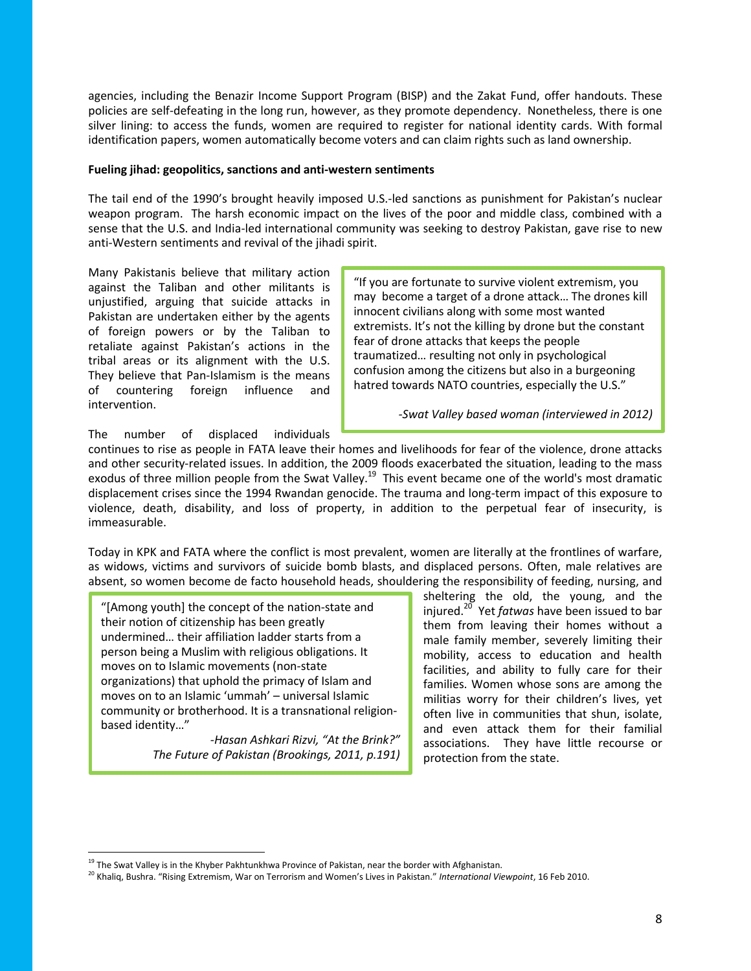agencies, including the Benazir Income Support Program (BISP) and the Zakat Fund, offer handouts. These policies are self-defeating in the long run, however, as they promote dependency. Nonetheless, there is one silver lining: to access the funds, women are required to register for national identity cards. With formal identification papers, women automatically become voters and can claim rights such as land ownership.

#### **Fueling jihad: geopolitics, sanctions and anti-western sentiments**

The tail end of the 1990's brought heavily imposed U.S.-led sanctions as punishment for Pakistan's nuclear weapon program. The harsh economic impact on the lives of the poor and middle class, combined with a sense that the U.S. and India-led international community was seeking to destroy Pakistan, gave rise to new anti-Western sentiments and revival of the jihadi spirit.

Many Pakistanis believe that military action against the Taliban and other militants is unjustified, arguing that suicide attacks in Pakistan are undertaken either by the agents of foreign powers or by the Taliban to retaliate against Pakistan's actions in the tribal areas or its alignment with the U.S. They believe that Pan-Islamism is the means of countering foreign influence and intervention.

"If you are fortunate to survive violent extremism, you may become a target of a drone attack… The drones kill innocent civilians along with some most wanted extremists. It's not the killing by drone but the constant fear of drone attacks that keeps the people traumatized… resulting not only in psychological confusion among the citizens but also in a burgeoning hatred towards NATO countries, especially the U.S."

*-Swat Valley based woman (interviewed in 2012)*

The number of displaced individuals

continues to rise as people in FATA leave their homes and livelihoods for fear of the violence, drone attacks and other security-related issues. In addition, the 2009 floods exacerbated the situation, leading to the mass exodus of three million people from the Swat Valley.<sup>19</sup> This event became one of the world's most dramatic displacement crises since the 1994 Rwandan genocide. The trauma and long-term impact of this exposure to violence, death, disability, and loss of property, in addition to the perpetual fear of insecurity, is immeasurable.

Today in KPK and FATA where the conflict is most prevalent, women are literally at the frontlines of warfare, as widows, victims and survivors of suicide bomb blasts, and displaced persons. Often, male relatives are absent, so women become de facto household heads, shouldering the responsibility of feeding, nursing, and

"[Among youth] the concept of the nation-state and their notion of citizenship has been greatly undermined… their affiliation ladder starts from a person being a Muslim with religious obligations. It moves on to Islamic movements (non-state organizations) that uphold the primacy of Islam and moves on to an Islamic 'ummah' – universal Islamic community or brotherhood. It is a transnational religionbased identity…"

 $\overline{a}$ 

*-Hasan Ashkari Rizvi, "At the Brink?" The Future of Pakistan (Brookings, 2011, p.191)*

sheltering the old, the young, and the injured.<sup>20</sup> Yet *fatwas* have been issued to bar them from leaving their homes without a male family member, severely limiting their mobility, access to education and health facilities, and ability to fully care for their families. Women whose sons are among the militias worry for their children's lives, yet often live in communities that shun, isolate, and even attack them for their familial associations. They have little recourse or protection from the state.

<sup>&</sup>lt;sup>19</sup> The Swat Valley is in the Khyber Pakhtunkhwa Province of Pakistan, near the border with Afghanistan.

<sup>20</sup> Khaliq, Bushra. "Rising Extremism, War on Terrorism and Women's Lives in Pakistan." *International Viewpoint*, 16 Feb 2010.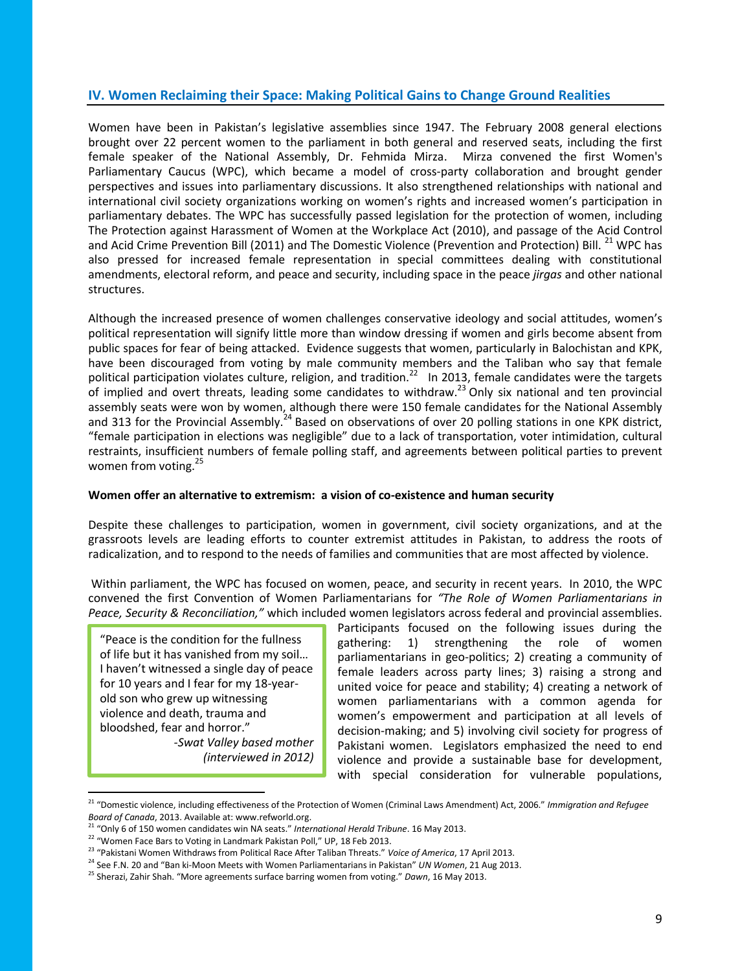## **IV. Women Reclaiming their Space: Making Political Gains to Change Ground Realities**

Women have been in Pakistan's legislative assemblies since 1947. The February 2008 general elections brought over 22 percent women to the parliament in both general and reserved seats, including the first female speaker of the National Assembly, Dr. Fehmida Mirza. Mirza convened the first Women's Parliamentary Caucus (WPC), which became a model of cross-party collaboration and brought gender perspectives and issues into parliamentary discussions. It also strengthened relationships with national and international civil society organizations working on women's rights and increased women's participation in parliamentary debates. The WPC has successfully passed legislation for the protection of women, including The Protection against Harassment of Women at the Workplace Act (2010), and passage of the Acid Control and Acid Crime Prevention Bill (2011) and The Domestic Violence (Prevention and Protection) Bill. <sup>21</sup> WPC has also pressed for increased female representation in special committees dealing with constitutional amendments, electoral reform, and peace and security, including space in the peace *jirgas* and other national structures.

Although the increased presence of women challenges conservative ideology and social attitudes, women's political representation will signify little more than window dressing if women and girls become absent from public spaces for fear of being attacked. Evidence suggests that women, particularly in Balochistan and KPK, have been discouraged from voting by male community members and the Taliban who say that female political participation violates culture, religion, and tradition.<sup>22</sup> In 2013, female candidates were the targets of implied and overt threats, leading some candidates to withdraw.<sup>23</sup> Only six national and ten provincial assembly seats were won by women, although there were 150 female candidates for the National Assembly and 313 for the Provincial Assembly.<sup>24</sup> Based on observations of over 20 polling stations in one KPK district, "female participation in elections was negligible" due to a lack of transportation, voter intimidation, cultural restraints, insufficient numbers of female polling staff, and agreements between political parties to prevent women from voting.<sup>25</sup>

#### **Women offer an alternative to extremism: a vision of co-existence and human security**

Despite these challenges to participation, women in government, civil society organizations, and at the grassroots levels are leading efforts to counter extremist attitudes in Pakistan, to address the roots of radicalization, and to respond to the needs of families and communities that are most affected by violence.

Within parliament, the WPC has focused on women, peace, and security in recent years. In 2010, the WPC convened the first Convention of Women Parliamentarians for *"The Role of Women Parliamentarians in Peace, Security & Reconciliation,"* which included women legislators across federal and provincial assemblies.

"Peace is the condition for the fullness of life but it has vanished from my soil… I haven't witnessed a single day of peace for 10 years and I fear for my 18-yearold son who grew up witnessing violence and death, trauma and bloodshed, fear and horror."

 $\overline{\phantom{a}}$ 

*-Swat Valley based mother (interviewed in 2012)*

Participants focused on the following issues during the gathering: 1) strengthening the role of women parliamentarians in geo-politics; 2) creating a community of female leaders across party lines; 3) raising a strong and united voice for peace and stability; 4) creating a network of women parliamentarians with a common agenda for women's empowerment and participation at all levels of decision-making; and 5) involving civil society for progress of Pakistani women. Legislators emphasized the need to end violence and provide a sustainable base for development, with special consideration for vulnerable populations,

<sup>21</sup> "Domestic violence, including effectiveness of the Protection of Women (Criminal Laws Amendment) Act, 2006." *Immigration and Refugee Board of Canada*, 2013. Available at: www.refworld.org.

<sup>21</sup> "Only 6 of 150 women candidates win NA seats." *International Herald Tribune*. 16 May 2013.

<sup>&</sup>lt;sup>22</sup> "Women Face Bars to Voting in Landmark Pakistan Poll," UP, 18 Feb 2013.

<sup>23</sup> "Pakistani Women Withdraws from Political Race After Taliban Threats." *Voice of America*, 17 April 2013.

<sup>24</sup> See F.N. 20 and "Ban ki-Moon Meets with Women Parliamentarians in Pakistan" *UN Women*, 21 Aug 2013.

<sup>25</sup> Sherazi, Zahir Shah. "More agreements surface barring women from voting." *Dawn*, 16 May 2013.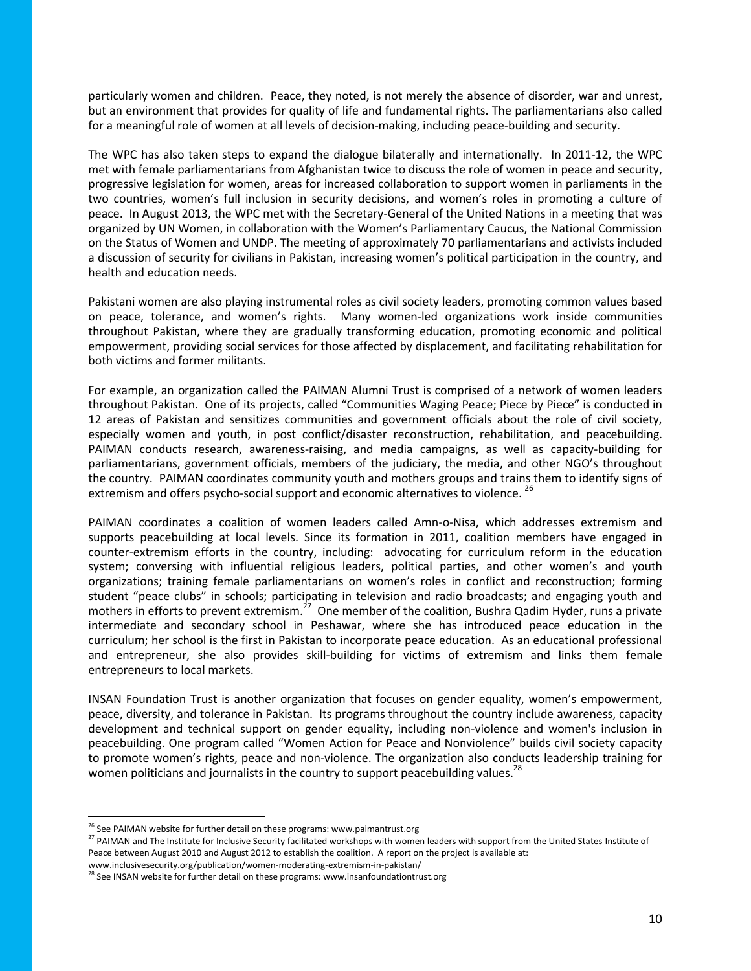particularly women and children. Peace, they noted, is not merely the absence of disorder, war and unrest, but an environment that provides for quality of life and fundamental rights. The parliamentarians also called for a meaningful role of women at all levels of decision-making, including peace-building and security.

The WPC has also taken steps to expand the dialogue bilaterally and internationally. In 2011-12, the WPC met with female parliamentarians from Afghanistan twice to discuss the role of women in peace and security, progressive legislation for women, areas for increased collaboration to support women in parliaments in the two countries, women's full inclusion in security decisions, and women's roles in promoting a culture of peace. In August 2013, the WPC met with the Secretary-General of the United Nations in a meeting that was organized by UN Women, in collaboration with the Women's Parliamentary Caucus, the National Commission on the Status of Women and UNDP. The meeting of approximately 70 parliamentarians and activists included a discussion of security for civilians in Pakistan, increasing women's political participation in the country, and health and education needs.

Pakistani women are also playing instrumental roles as civil society leaders, promoting common values based on peace, tolerance, and women's rights. Many women-led organizations work inside communities throughout Pakistan, where they are gradually transforming education, promoting economic and political empowerment, providing social services for those affected by displacement, and facilitating rehabilitation for both victims and former militants.

For example, an organization called the PAIMAN Alumni Trust is comprised of a network of women leaders throughout Pakistan. One of its projects, called "Communities Waging Peace; Piece by Piece" is conducted in 12 areas of Pakistan and sensitizes communities and government officials about the role of civil society, especially women and youth, in post conflict/disaster reconstruction, rehabilitation, and peacebuilding. PAIMAN conducts research, awareness-raising, and media campaigns, as well as capacity-building for parliamentarians, government officials, members of the judiciary, the media, and other NGO's throughout the country. PAIMAN coordinates community youth and mothers groups and trains them to identify signs of extremism and offers psycho-social support and economic alternatives to violence. <sup>26</sup>

PAIMAN coordinates a coalition of women leaders called Amn-o-Nisa, which addresses extremism and supports peacebuilding at local levels. Since its formation in 2011, coalition members have engaged in counter-extremism efforts in the country, including: advocating for curriculum reform in the education system; conversing with influential religious leaders, political parties, and other women's and youth organizations; training female parliamentarians on women's roles in conflict and reconstruction; forming student "peace clubs" in schools; participating in television and radio broadcasts; and engaging youth and mothers in efforts to prevent extremism.<sup>27</sup> One member of the coalition, Bushra Qadim Hyder, runs a private intermediate and secondary school in Peshawar, where she has introduced peace education in the curriculum; her school is the first in Pakistan to incorporate peace education. As an educational professional and entrepreneur, she also provides skill-building for victims of extremism and links them female entrepreneurs to local markets.

INSAN Foundation Trust is another organization that focuses on gender equality, women's empowerment, peace, diversity, and tolerance in Pakistan. Its programs throughout the country include awareness, capacity development and technical support on gender equality, including non-violence and women's inclusion in peacebuilding. One program called "Women Action for Peace and Nonviolence" builds civil society capacity to promote women's rights, peace and non-violence. The organization also conducts leadership training for women politicians and journalists in the country to support peacebuilding values.<sup>28</sup>

 $\overline{a}$ 

<sup>&</sup>lt;sup>26</sup> See PAIMAN website for further detail on these programs: www.paimantrust.org

<sup>&</sup>lt;sup>27</sup> PAIMAN and The Institute for Inclusive Security facilitated workshops with women leaders with support from the United States Institute of Peace between August 2010 and August 2012 to establish the coalition. A report on the project is available at:

www.inclusivesecurity.org/publication/women-moderating-extremism-in-pakistan/

<sup>&</sup>lt;sup>28</sup> See INSAN website for further detail on these programs: www.insanfoundationtrust.org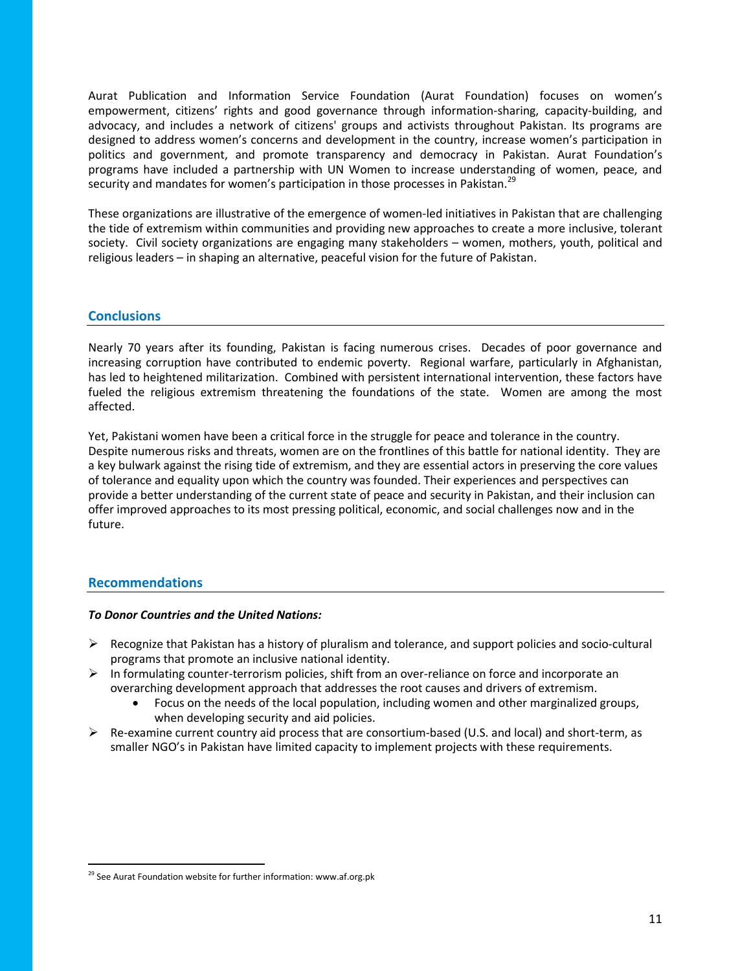Aurat Publication and Information Service Foundation (Aurat Foundation) focuses on women's empowerment, citizens' rights and good governance through information-sharing, capacity-building, and advocacy, and includes a network of citizens' groups and activists throughout Pakistan. Its programs are designed to address women's concerns and development in the country, increase women's participation in politics and government, and promote transparency and democracy in Pakistan. Aurat Foundation's programs have included a partnership with UN Women to increase understanding of women, peace, and security and mandates for women's participation in those processes in Pakistan.<sup>29</sup>

These organizations are illustrative of the emergence of women-led initiatives in Pakistan that are challenging the tide of extremism within communities and providing new approaches to create a more inclusive, tolerant society. Civil society organizations are engaging many stakeholders – women, mothers, youth, political and religious leaders – in shaping an alternative, peaceful vision for the future of Pakistan.

## **Conclusions**

Nearly 70 years after its founding, Pakistan is facing numerous crises. Decades of poor governance and increasing corruption have contributed to endemic poverty. Regional warfare, particularly in Afghanistan, has led to heightened militarization. Combined with persistent international intervention, these factors have fueled the religious extremism threatening the foundations of the state. Women are among the most affected.

Yet, Pakistani women have been a critical force in the struggle for peace and tolerance in the country. Despite numerous risks and threats, women are on the frontlines of this battle for national identity. They are a key bulwark against the rising tide of extremism, and they are essential actors in preserving the core values of tolerance and equality upon which the country was founded. Their experiences and perspectives can provide a better understanding of the current state of peace and security in Pakistan, and their inclusion can offer improved approaches to its most pressing political, economic, and social challenges now and in the future.

## **Recommendations**

 $\overline{\phantom{a}}$ 

#### *To Donor Countries and the United Nations:*

- $\triangleright$  Recognize that Pakistan has a history of pluralism and tolerance, and support policies and socio-cultural programs that promote an inclusive national identity.
- $\triangleright$  In formulating counter-terrorism policies, shift from an over-reliance on force and incorporate an overarching development approach that addresses the root causes and drivers of extremism.
	- Focus on the needs of the local population, including women and other marginalized groups, when developing security and aid policies.
- $\triangleright$  Re-examine current country aid process that are consortium-based (U.S. and local) and short-term, as smaller NGO's in Pakistan have limited capacity to implement projects with these requirements.

 $29$  See Aurat Foundation website for further information: www.af.org.pk